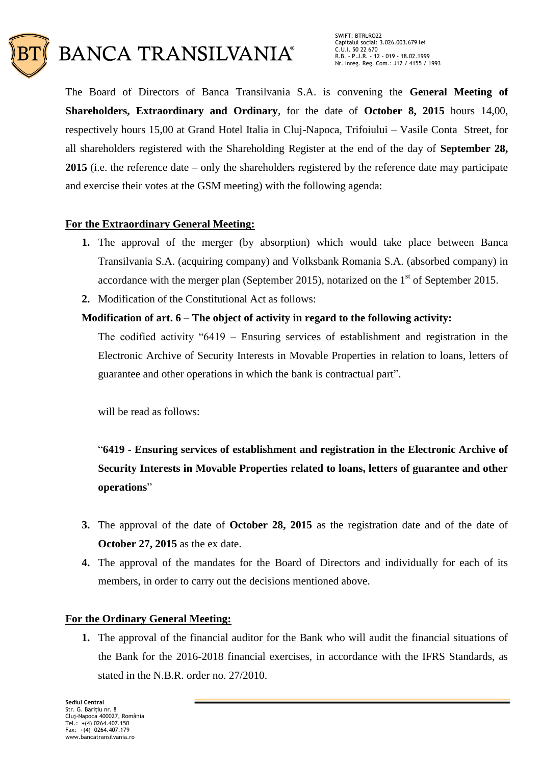

The Board of Directors of Banca Transilvania S.A. is convening the **General Meeting of Shareholders, Extraordinary and Ordinary**, for the date of **October 8, 2015** hours 14,00, respectively hours 15,00 at Grand Hotel Italia in Cluj-Napoca, Trifoiului – Vasile Conta Street, for all shareholders registered with the Shareholding Register at the end of the day of **September 28, 2015** (i.e. the reference date – only the shareholders registered by the reference date may participate and exercise their votes at the GSM meeting) with the following agenda:

# **For the Extraordinary General Meeting:**

- **1.** The approval of the merger (by absorption) which would take place between Banca Transilvania S.A. (acquiring company) and Volksbank Romania S.A. (absorbed company) in accordance with the merger plan (September 2015), notarized on the  $1<sup>st</sup>$  of September 2015.
- **2.** Modification of the Constitutional Act as follows:

# **Modification of art. 6 – The object of activity in regard to the following activity:**

The codified activity "6419 – Ensuring services of establishment and registration in the Electronic Archive of Security Interests in Movable Properties in relation to loans, letters of guarantee and other operations in which the bank is contractual part".

will be read as follows:

# "**6419 - Ensuring services of establishment and registration in the Electronic Archive of Security Interests in Movable Properties related to loans, letters of guarantee and other operations**"

- **3.** The approval of the date of **October 28, 2015** as the registration date and of the date of **October 27, 2015** as the ex date.
- **4.** The approval of the mandates for the Board of Directors and individually for each of its members, in order to carry out the decisions mentioned above.

# **For the Ordinary General Meeting:**

**1.** The approval of the financial auditor for the Bank who will audit the financial situations of the Bank for the 2016-2018 financial exercises, in accordance with the IFRS Standards, as stated in the N.B.R. order no. 27/2010.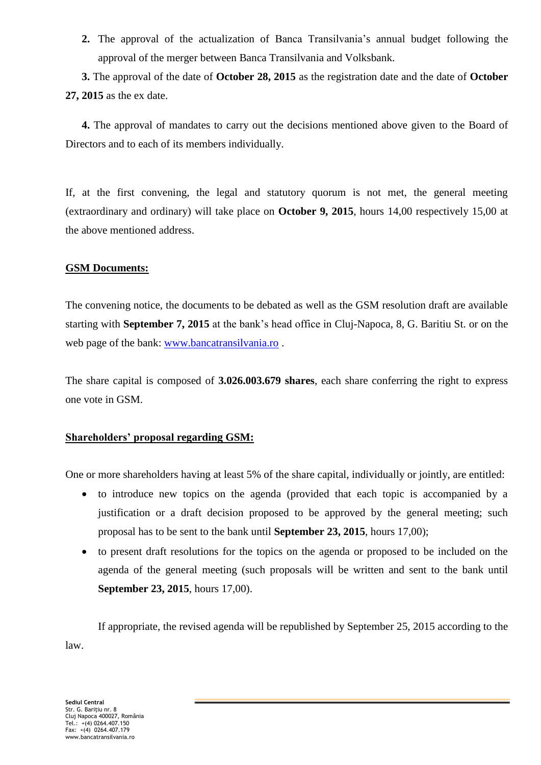**2.** The approval of the actualization of Banca Transilvania's annual budget following the approval of the merger between Banca Transilvania and Volksbank.

**3.** The approval of the date of **October 28, 2015** as the registration date and the date of **October 27, 2015** as the ex date.

**4.** The approval of mandates to carry out the decisions mentioned above given to the Board of Directors and to each of its members individually.

If, at the first convening, the legal and statutory quorum is not met, the general meeting (extraordinary and ordinary) will take place on **October 9, 2015**, hours 14,00 respectively 15,00 at the above mentioned address.

# **GSM Documents:**

The convening notice, the documents to be debated as well as the GSM resolution draft are available starting with **September 7, 2015** at the bank's head office in Cluj-Napoca, 8, G. Baritiu St. or on the web page of the bank: [www.bancatransilvania.ro](http://www.bancatransilvania.ro/) .

The share capital is composed of **3.026.003.679 shares**, each share conferring the right to express one vote in GSM.

# **Shareholders' proposal regarding GSM:**

One or more shareholders having at least 5% of the share capital, individually or jointly, are entitled:

- to introduce new topics on the agenda (provided that each topic is accompanied by a justification or a draft decision proposed to be approved by the general meeting; such proposal has to be sent to the bank until **September 23, 2015**, hours 17,00);
- to present draft resolutions for the topics on the agenda or proposed to be included on the agenda of the general meeting (such proposals will be written and sent to the bank until **September 23, 2015**, hours 17,00).

If appropriate, the revised agenda will be republished by September 25, 2015 according to the law.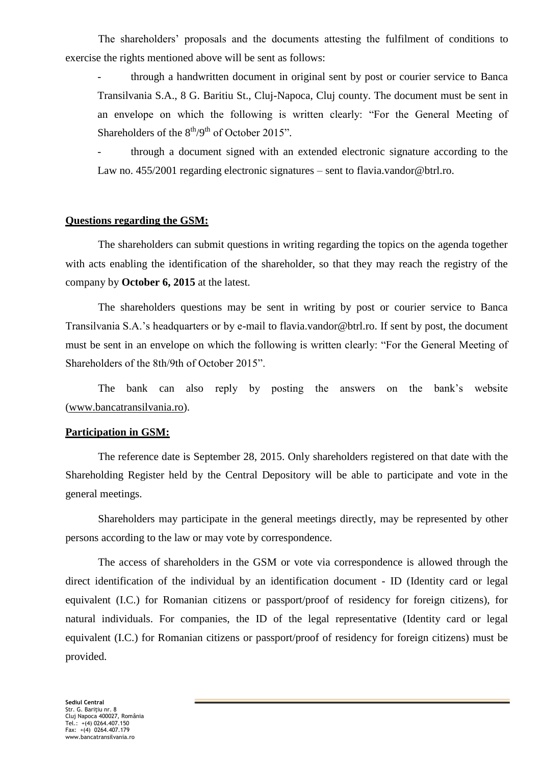The shareholders' proposals and the documents attesting the fulfilment of conditions to exercise the rights mentioned above will be sent as follows:

through a handwritten document in original sent by post or courier service to Banca Transilvania S.A., 8 G. Baritiu St., Cluj-Napoca, Cluj county. The document must be sent in an envelope on which the following is written clearly: "For the General Meeting of Shareholders of the  $8<sup>th</sup>/9<sup>th</sup>$  of October 2015".

through a document signed with an extended electronic signature according to the Law no. 455/2001 regarding electronic signatures – sent to flavia.vandor@btrl.ro.

#### **Questions regarding the GSM:**

The shareholders can submit questions in writing regarding the topics on the agenda together with acts enabling the identification of the shareholder, so that they may reach the registry of the company by **October 6, 2015** at the latest.

The shareholders questions may be sent in writing by post or courier service to Banca Transilvania S.A.'s headquarters or by e-mail to flavia.vandor@btrl.ro. If sent by post, the document must be sent in an envelope on which the following is written clearly: "For the General Meeting of Shareholders of the 8th/9th of October 2015".

The bank can also reply by posting the answers on the bank's website [\(www.bancatransilvania.ro\)](http://www.bancatransilvania.ro/).

#### **Participation in GSM:**

The reference date is September 28, 2015. Only shareholders registered on that date with the Shareholding Register held by the Central Depository will be able to participate and vote in the general meetings.

Shareholders may participate in the general meetings directly, may be represented by other persons according to the law or may vote by correspondence.

The access of shareholders in the GSM or vote via correspondence is allowed through the direct identification of the individual by an identification document - ID (Identity card or legal equivalent (I.C.) for Romanian citizens or passport/proof of residency for foreign citizens), for natural individuals. For companies, the ID of the legal representative (Identity card or legal equivalent (I.C.) for Romanian citizens or passport/proof of residency for foreign citizens) must be provided.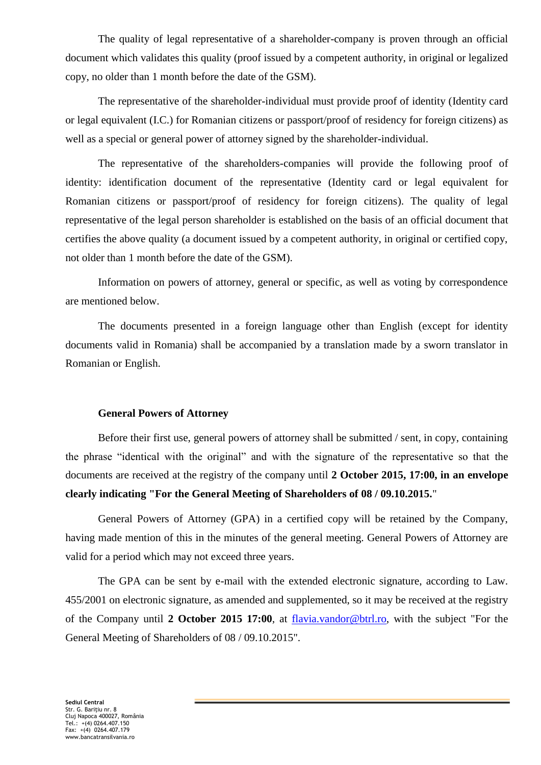The quality of legal representative of a shareholder-company is proven through an official document which validates this quality (proof issued by a competent authority, in original or legalized copy, no older than 1 month before the date of the GSM).

The representative of the shareholder-individual must provide proof of identity (Identity card or legal equivalent (I.C.) for Romanian citizens or passport/proof of residency for foreign citizens) as well as a special or general power of attorney signed by the shareholder-individual.

The representative of the shareholders-companies will provide the following proof of identity: identification document of the representative (Identity card or legal equivalent for Romanian citizens or passport/proof of residency for foreign citizens). The quality of legal representative of the legal person shareholder is established on the basis of an official document that certifies the above quality (a document issued by a competent authority, in original or certified copy, not older than 1 month before the date of the GSM).

Information on powers of attorney, general or specific, as well as voting by correspondence are mentioned below.

The documents presented in a foreign language other than English (except for identity documents valid in Romania) shall be accompanied by a translation made by a sworn translator in Romanian or English.

#### **General Powers of Attorney**

Before their first use, general powers of attorney shall be submitted / sent, in copy, containing the phrase "identical with the original" and with the signature of the representative so that the documents are received at the registry of the company until **2 October 2015, 17:00, in an envelope clearly indicating "For the General Meeting of Shareholders of 08 / 09.10.2015.**"

General Powers of Attorney (GPA) in a certified copy will be retained by the Company, having made mention of this in the minutes of the general meeting. General Powers of Attorney are valid for a period which may not exceed three years.

The GPA can be sent by e-mail with the extended electronic signature, according to Law. 455/2001 on electronic signature, as amended and supplemented, so it may be received at the registry of the Company until **2 October 2015 17:00**, at [flavia.vandor@btrl.ro,](mailto:flavia.vandor@btrl.ro) with the subject "For the General Meeting of Shareholders of 08 / 09.10.2015".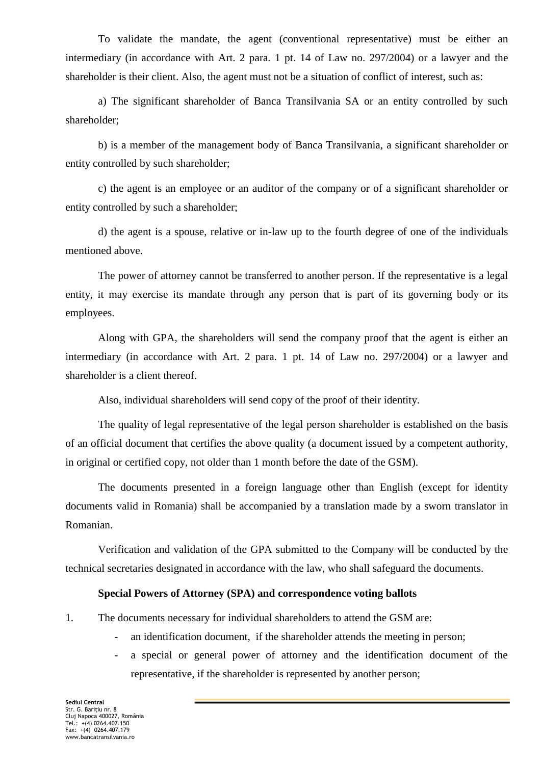To validate the mandate, the agent (conventional representative) must be either an intermediary (in accordance with Art. 2 para. 1 pt. 14 of Law no. 297/2004) or a lawyer and the shareholder is their client. Also, the agent must not be a situation of conflict of interest, such as:

a) The significant shareholder of Banca Transilvania SA or an entity controlled by such shareholder;

b) is a member of the management body of Banca Transilvania, a significant shareholder or entity controlled by such shareholder;

c) the agent is an employee or an auditor of the company or of a significant shareholder or entity controlled by such a shareholder;

d) the agent is a spouse, relative or in-law up to the fourth degree of one of the individuals mentioned above.

The power of attorney cannot be transferred to another person. If the representative is a legal entity, it may exercise its mandate through any person that is part of its governing body or its employees.

Along with GPA, the shareholders will send the company proof that the agent is either an intermediary (in accordance with Art. 2 para. 1 pt. 14 of Law no. 297/2004) or a lawyer and shareholder is a client thereof.

Also, individual shareholders will send copy of the proof of their identity.

The quality of legal representative of the legal person shareholder is established on the basis of an official document that certifies the above quality (a document issued by a competent authority, in original or certified copy, not older than 1 month before the date of the GSM).

The documents presented in a foreign language other than English (except for identity documents valid in Romania) shall be accompanied by a translation made by a sworn translator in Romanian.

Verification and validation of the GPA submitted to the Company will be conducted by the technical secretaries designated in accordance with the law, who shall safeguard the documents.

#### **Special Powers of Attorney (SPA) and correspondence voting ballots**

1. The documents necessary for individual shareholders to attend the GSM are:

- an identification document, if the shareholder attends the meeting in person;
- a special or general power of attorney and the identification document of the representative, if the shareholder is represented by another person;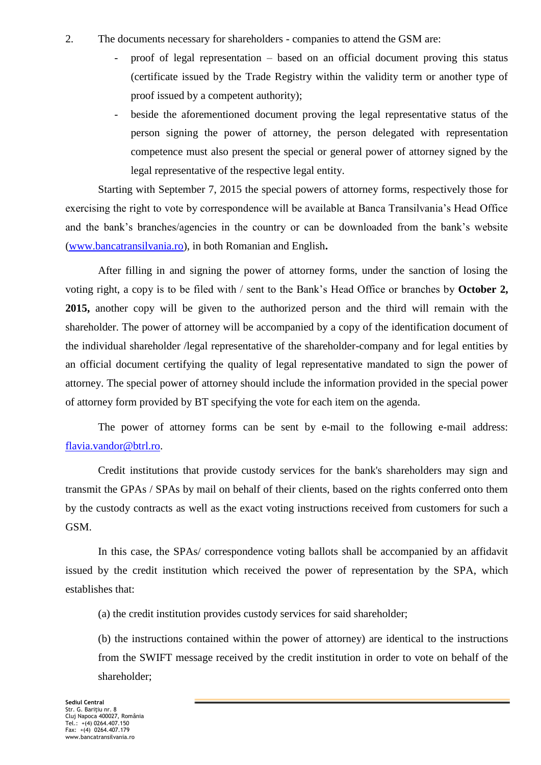- 2. The documents necessary for shareholders companies to attend the GSM are:
	- proof of legal representation based on an official document proving this status (certificate issued by the Trade Registry within the validity term or another type of proof issued by a competent authority);
	- beside the aforementioned document proving the legal representative status of the person signing the power of attorney, the person delegated with representation competence must also present the special or general power of attorney signed by the legal representative of the respective legal entity.

Starting with September 7, 2015 the special powers of attorney forms, respectively those for exercising the right to vote by correspondence will be available at Banca Transilvania's Head Office and the bank's branches/agencies in the country or can be downloaded from the bank's website [\(www.bancatransilvania.ro\)](http://www.bancatransilvania.ro/), in both Romanian and English**.**

After filling in and signing the power of attorney forms, under the sanction of losing the voting right, a copy is to be filed with / sent to the Bank's Head Office or branches by **October 2, 2015,** another copy will be given to the authorized person and the third will remain with the shareholder. The power of attorney will be accompanied by a copy of the identification document of the individual shareholder /legal representative of the shareholder-company and for legal entities by an official document certifying the quality of legal representative mandated to sign the power of attorney. The special power of attorney should include the information provided in the special power of attorney form provided by BT specifying the vote for each item on the agenda.

The power of attorney forms can be sent by e-mail to the following e-mail address: [flavia.vandor@btrl.ro.](mailto:flavia.vandor@btrl.ro)

Credit institutions that provide custody services for the bank's shareholders may sign and transmit the GPAs / SPAs by mail on behalf of their clients, based on the rights conferred onto them by the custody contracts as well as the exact voting instructions received from customers for such a GSM.

In this case, the SPAs/ correspondence voting ballots shall be accompanied by an affidavit issued by the credit institution which received the power of representation by the SPA, which establishes that:

(a) the credit institution provides custody services for said shareholder;

(b) the instructions contained within the power of attorney) are identical to the instructions from the SWIFT message received by the credit institution in order to vote on behalf of the shareholder;